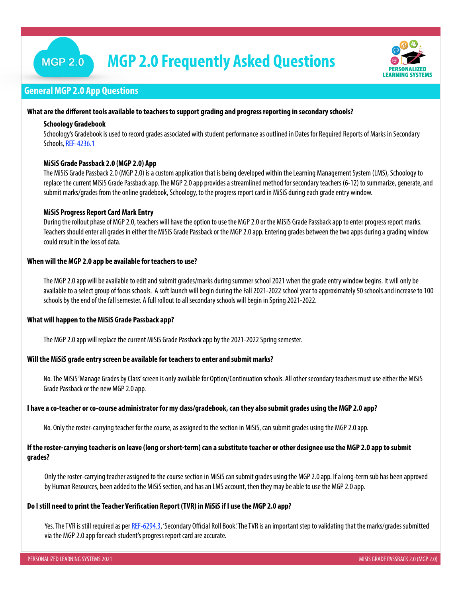## **MGP 2.0**

# **MGP 2.0 Frequently Asked Questions**



## **General MGP 2.0 App Questions**

#### **What are the different tools available to teachers to support grading and progress reporting in secondary schools?**

#### **Schoology Gradebook**

Schoology's Gradebook is used to record grades associated with student performance as outlined in Dates for Required Reports of Marks in Secondary Schools, [REF-4236.1](https://my.lausd.net/webcenter/wccproxy/d?dDocName=1346387)

#### **MiSiS Grade Passback 2.0 (MGP 2.0) App**

The MiSiS Grade Passback 2.0 (MGP 2.0) is a custom application that is being developed within the Learning Management System (LMS), Schoology to replace the current MiSiS Grade Passback app. The MGP 2.0 app provides a streamlined method for secondary teachers (6-12) to summarize, generate, and submit marks/grades from the online gradebook, Schoology, to the progress report card in MiSiS during each grade entry window.

#### **MiSiS Progress Report Card Mark Entry**

During the rollout phase of MGP 2.0, teachers will have the option to use the MGP 2.0 or the MiSiS Grade Passback app to enter progress report marks. Teachers should enter all grades in either the MiSiS Grade Passback or the MGP 2.0 app. Entering grades between the two apps during a grading window could result in the loss of data.

#### **When will the MGP 2.0 app be available for teachers to use?**

The MGP 2.0 app will be available to edit and submit grades/marks during summer school 2021 when the grade entry window begins. It will only be available to a select group of focus schools. A soft launch will begin during the Fall 2021-2022 school year to approximately 50 schools and increase to 100 schools by the end of the fall semester. A full rollout to all secondary schools will begin in Spring 2021-2022.

#### **What will happen to the MiSiS Grade Passback app?**

The MGP 2.0 app will replace the current MiSiS Grade Passback app by the 2021-2022 Spring semester.

#### **Will the MiSiS grade entry screen be available for teachers to enter and submit marks?**

No. The MiSiS 'Manage Grades by Class' screen is only available for Option/Continuation schools. All other secondary teachers must use either the MiSiS Grade Passback or the new MGP 2.0 app.

#### **I have a co-teacher or co-course administrator for my class/gradebook, can they also submit grades using the MGP 2.0 app?**

No. Only the roster-carrying teacher for the course, as assigned to the section in MiSiS, can submit grades using the MGP 2.0 app.

#### **If the roster-carrying teacher is on leave (long or short-term) can a substitute teacher or other designee use the MGP 2.0 app to submit grades?**

Only the roster-carrying teacher assigned to the course section in MiSiS can submit grades using the MGP 2.0 app. If a long-term sub has been approved by Human Resources, been added to the MiSiS section, and has an LMS account, then they may be able to use the MGP 2.0 app.

### **Do I still need to print the Teacher Verification Report (TVR) in MiSiS if I use the MGP 2.0 app?**

Yes. The TVR is still required as per [REF-6294.3,](https://ca01000043.schoolwires.net/cms/lib/CA01000043/Centricity/Domain/720/REF-6294.3%20Secondary%20Official%20Roll%20Book.pdf) 'Secondary Official Roll Book.' The TVR is an important step to validating that the marks/grades submitted via the MGP 2.0 app for each student's progress report card are accurate.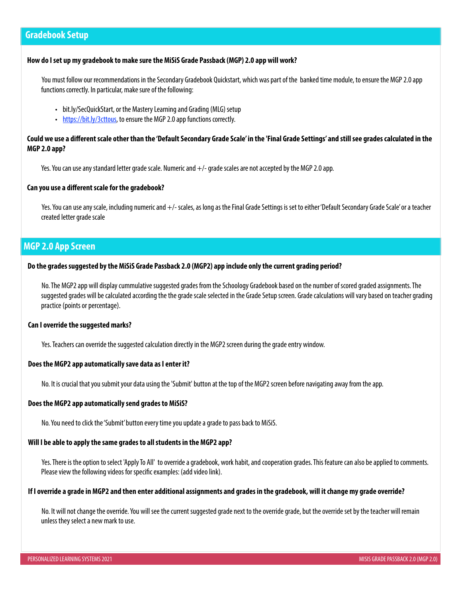## **Gradebook Setup**

#### **How do I set up my gradebook to make sure the MiSiS Grade Passback (MGP) 2.0 app will work?**

You must follow our recommendations in the Secondary Gradebook Quickstart, which was part of the banked time module, to ensure the MGP 2.0 app functions correctly. In particular, make sure of the following:

- bit.ly/SecQuickStart, or the Mastery Learning and Grading (MLG) setup
- <https://bit.ly/3cttous>, to ensure the MGP 2.0 app functions correctly.

## **Could we use a different scale other than the 'Default Secondary Grade Scale' in the 'Final Grade Settings' and still see grades calculated in the MGP 2.0 app?**

Yes. You can use any standard letter grade scale. Numeric and +/- grade scales are not accepted by the MGP 2.0 app.

#### **Can you use a different scale for the gradebook?**

Yes. You can use any scale, including numeric and +/- scales, as long as the Final Grade Settings is set to either 'Default Secondary Grade Scale' or a teacher created letter grade scale

## **MGP 2.0 App Screen**

#### **Do the grades suggested by the MiSiS Grade Passback 2.0 (MGP2) app include only the current grading period?**

No. The MGP2 app will display cummulative suggested grades from the Schoology Gradebook based on the number of scored graded assignments. The suggested grades will be calculated according the the grade scale selected in the Grade Setup screen. Grade calculations will vary based on teacher grading practice (points or percentage).

#### **Can I override the suggested marks?**

Yes. Teachers can override the suggested calculation directly in the MGP2 screen during the grade entry window.

#### **Does the MGP2 app automatically save data as I enter it?**

No. It is crucial that you submit your data using the 'Submit' button at the top of the MGP2 screen before navigating away from the app.

#### **Does the MGP2 app automatically send grades to MiSiS?**

No. You need to click the 'Submit' button every time you update a grade to pass back to MiSiS.

#### **Will I be able to apply the same grades to all students in the MGP2 app?**

Yes. There is the option to select 'Apply To All' to override a gradebook, work habit, and cooperation grades. This feature can also be applied to comments. Please view the following videos for specific examples: (add video link).

#### **If I override a grade in MGP2 and then enter additional assignments and grades in the gradebook, will it change my grade override?**

No. It will not change the override. You will see the current suggested grade next to the override grade, but the override set by the teacher will remain unless they select a new mark to use.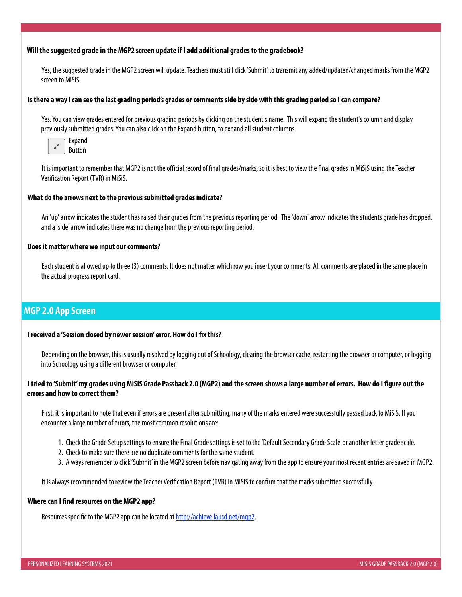#### **Will the suggested grade in the MGP2 screen update if I add additional grades to the gradebook?**

Yes, the suggested grade in the MGP2 screen will update. Teachers must still click 'Submit' to transmit any added/updated/changed marks from the MGP2 screen to MiSiS.

#### **Is there a way I can see the last grading period's grades or comments side by side with this grading period so I can compare?**

Yes. You can view grades entered for previous grading periods by clicking on the student's name. This will expand the student's column and display previously submitted grades. You can also click on the Expand button, to expand all student columns.



It is important to remember that MGP2 is not the official record of final grades/marks, so it is best to view the final grades in MiSiS using the Teacher Verification Report (TVR) in MiSiS.

#### **What do the arrows next to the previous submitted grades indicate?**

An 'up' arrow indicates the student has raised their grades from the previous reporting period. The 'down' arrow indicates the students grade has dropped, and a 'side' arrow indicates there was no change from the previous reporting period.

#### **Does it matter where we input our comments?**

Each student is allowed up to three (3) comments. It does not matter which row you insert your comments. All comments are placed in the same place in the actual progress report card.

## **MGP 2.0 App Screen**

#### **I received a 'Session closed by newer session' error. How do I fix this?**

Depending on the browser, this is usually resolved by logging out of Schoology, clearing the browser cache, restarting the browser or computer, or logging into Schoology using a different browser or computer.

#### **I tried to 'Submit' my grades using MiSiS Grade Passback 2.0 (MGP2) and the screen shows a large number of errors. How do I figure out the errors and how to correct them?**

First, it is important to note that even if errors are present after submitting, many of the marks entered were successfully passed back to MiSiS. If you encounter a large number of errors, the most common resolutions are:

- 1. Check the Grade Setup settings to ensure the Final Grade settings is set to the 'Default Secondary Grade Scale' or another letter grade scale.
- 2. Check to make sure there are no duplicate comments for the same student.
- 3. Always remember to click 'Submit' in the MGP2 screen before navigating away from the app to ensure your most recent entries are saved in MGP2.

It is always recommended to review the Teacher Verification Report (TVR) in MiSiS to confirm that the marks submitted successfully.

#### **Where can I find resources on the MGP2 app?**

Resources specific to the MGP2 app can be located at [http://achieve.lausd.net/mgp2.](http://achieve.lausd.net/mgp2)